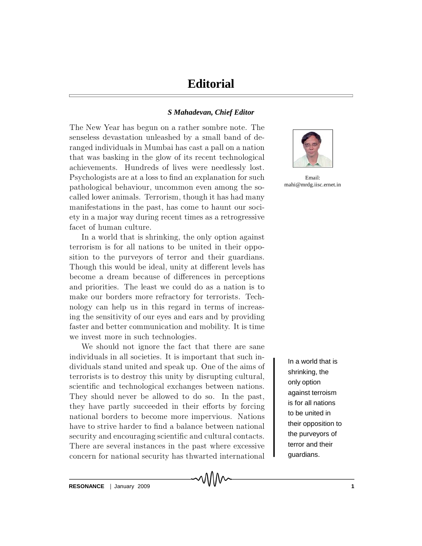## *S Mahadevan, Chief Editor*

The New Year has begun on a rather sombre note. The senseless devastation unleashed by a small band of deranged individuals in Mumbai has cast a pall on a nation that was basking in the glow of its recent technological achievements. Hundreds of lives were needlessly lost. Psychologists are at a loss to find an explanation for such pathological behaviour, uncommon even among the socalled lower animals. Terrorism, though it has had many manifestations in the past, has come to haunt our society in a major way during recent times as a retrogressive facet of human culture.

In a world that is shrinking, the only option against terrorism is for all nations to be united in their opposition to the purveyors of terror and their guardians. Though this would be ideal, unity at different levels has become a dream because of differences in perceptions and priorities. The least we could do as a nation is to make our borders more refractory for terrorists. Technology can help us in this regard in terms of increasing the sensitivity of our eyes and ears and by providing faster and better communication and mobility. It is time we invest more in such technologies.

We should not ignore the fact that there are sane individuals in all societies. It is important that such individuals stand united and speak up. One of the aims of terrorists is to destroy this unity by disrupting cultural, scientific and technological exchanges between nations. They should never be allowed to do so. In the past, they have partly succeeded in their efforts by forcing national borders to become more impervious. Nations have to strive harder to find a balance between national security and encouraging scientific and cultural contacts. There are several instances in the past where excessive concern for national security has thwarted international



Email: mahi@mrdg.iisc.ernet.in

In a world that is shrinking, the only option against terroism is for all nations to be united in their opposition to the purveyors of terror and their guardians.